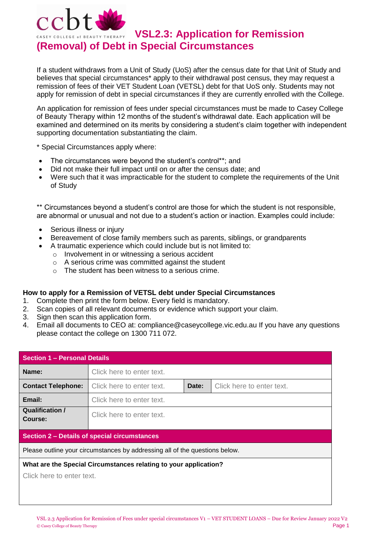## $ccbt$ *V***SL2.3: Application for Remission (Removal) of Debt in Special Circumstances**

If a student withdraws from a Unit of Study (UoS) after the census date for that Unit of Study and believes that special circumstances<sup>\*</sup> apply to their withdrawal post census, they may request a remission of fees of their VET Student Loan (VETSL) debt for that UoS only. Students may not apply for remission of debt in special circumstances if they are currently enrolled with the College.

An application for remission of fees under special circumstances must be made to Casey College of Beauty Therapy within 12 months of the student's withdrawal date. Each application will be examined and determined on its merits by considering a student's claim together with independent supporting documentation substantiating the claim.

\* Special Circumstances apply where:

- The circumstances were beyond the student's control\*\*; and
- Did not make their full impact until on or after the census date; and
- Were such that it was impracticable for the student to complete the requirements of the Unit of Study

\*\* Circumstances beyond a student's control are those for which the student is not responsible, are abnormal or unusual and not due to a student's action or inaction. Examples could include:

- Serious illness or injury
- Bereavement of close family members such as parents, siblings, or grandparents
- A traumatic experience which could include but is not limited to:
	- $\circ$  Involvement in or witnessing a serious accident
	- o A serious crime was committed against the student
	- $\circ$  The student has been witness to a serious crime.

## **How to apply for a Remission of VETSL debt under Special Circumstances**

- 1. Complete then print the form below. Every field is mandatory.
- 2. Scan copies of all relevant documents or evidence which support your claim.
- 3. Sign then scan this application form.
- 4. Email all documents to CEO at: compliance@caseycollege.vic.edu.au If you have any questions please contact the college on 1300 711 072.

| <b>Section 1 - Personal Details</b>                                         |                           |                           |  |  |  |  |  |
|-----------------------------------------------------------------------------|---------------------------|---------------------------|--|--|--|--|--|
| Click here to enter text.                                                   |                           |                           |  |  |  |  |  |
|                                                                             |                           | Click here to enter text. |  |  |  |  |  |
| Click here to enter text.                                                   |                           |                           |  |  |  |  |  |
| Click here to enter text.                                                   |                           |                           |  |  |  |  |  |
| Section 2 - Details of special circumstances                                |                           |                           |  |  |  |  |  |
| Please outline your circumstances by addressing all of the questions below. |                           |                           |  |  |  |  |  |
| What are the Special Circumstances relating to your application?            |                           |                           |  |  |  |  |  |
| Click here to enter text.                                                   |                           |                           |  |  |  |  |  |
|                                                                             |                           |                           |  |  |  |  |  |
|                                                                             | Click here to enter text. | Date:                     |  |  |  |  |  |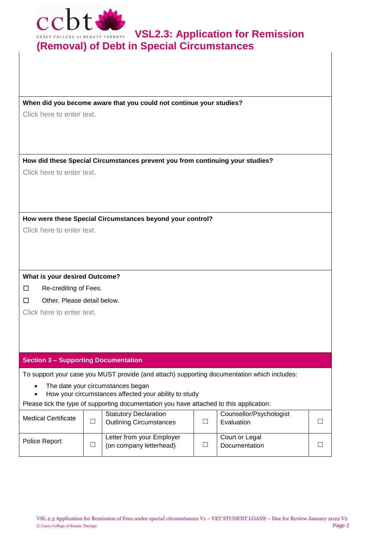

CASEY COLLEGE OF BEAUTY THERAPY **VSL2.3: Application for Remission (Removal) of Debt in Special Circumstances**

**When did you become aware that you could not continue your studies?**

Click here to enter text.

**How did these Special Circumstances prevent you from continuing your studies?** Click here to enter text.

**How were these Special Circumstances beyond your control?**

Click here to enter text.

## **What is your desired Outcome?**

- ☐Re-crediting of Fees.
- ☐Other. Please detail below.

Click here to enter text.

## **Section 3 – Supporting Documentation**

To support your case you MUST provide (and attach) supporting documentation which includes:

- The date your circumstances began
- How your circumstances affected your ability to study

Please tick the type of supporting documentation you have attached to this application:

| <b>Medical Certificate</b> | <b>Statutory Declaration</b><br><b>Outlining Circumstances</b> | Counsellor/Psychologist<br>Evaluation |  |
|----------------------------|----------------------------------------------------------------|---------------------------------------|--|
| Police Report              | Letter from your Employer<br>(on company letterhead)           | Court or Legal<br>Documentation       |  |